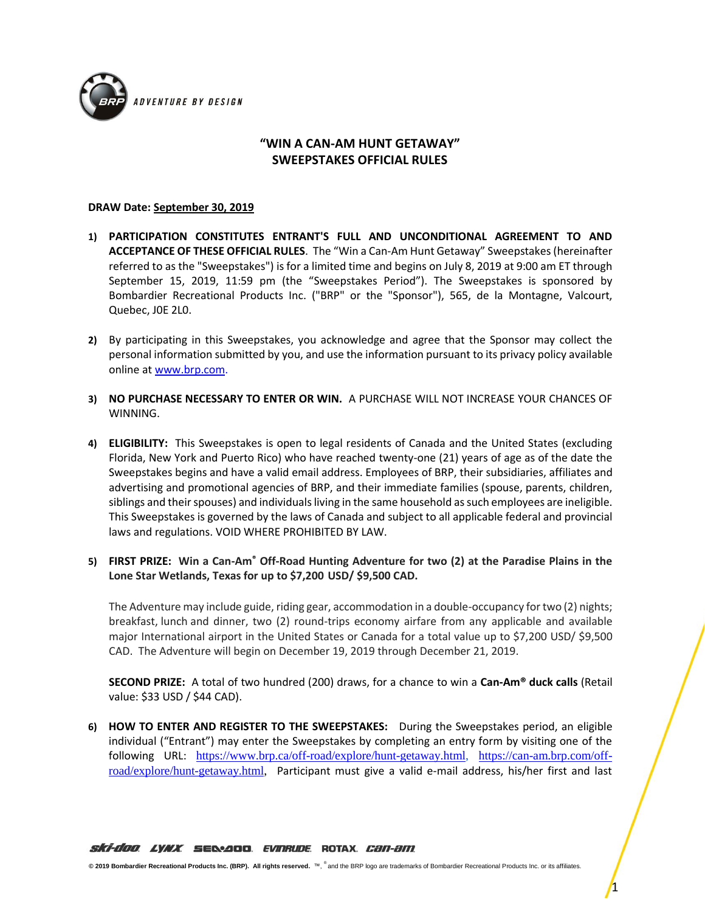

## **"WIN A CAN-AM HUNT GETAWAY" SWEEPSTAKES OFFICIAL RULES**

## **DRAW Date: September 30, 2019**

- **1) PARTICIPATION CONSTITUTES ENTRANT'S FULL AND UNCONDITIONAL AGREEMENT TO AND ACCEPTANCE OF THESE OFFICIAL RULES**. The "Win a Can-Am Hunt Getaway" Sweepstakes(hereinafter referred to as the "Sweepstakes") is for a limited time and begins on July 8, 2019 at 9:00 am ET through September 15, 2019, 11:59 pm (the "Sweepstakes Period"). The Sweepstakes is sponsored by Bombardier Recreational Products Inc. ("BRP" or the "Sponsor"), 565, de la Montagne, Valcourt, Quebec, J0E 2L0.
- **2)** By participating in this Sweepstakes, you acknowledge and agree that the Sponsor may collect the personal information submitted by you, and use the information pursuant to its privacy policy available online a[t www.brp.com.](http://www.brp.com/)
- **3) NO PURCHASE NECESSARY TO ENTER OR WIN.** A PURCHASE WILL NOT INCREASE YOUR CHANCES OF WINNING.
- **4) ELIGIBILITY:** This Sweepstakes is open to legal residents of Canada and the United States (excluding Florida, New York and Puerto Rico) who have reached twenty-one (21) years of age as of the date the Sweepstakes begins and have a valid email address. Employees of BRP, their subsidiaries, affiliates and advertising and promotional agencies of BRP, and their immediate families (spouse, parents, children, siblings and their spouses) and individuals living in the same household as such employees are ineligible. This Sweepstakes is governed by the laws of Canada and subject to all applicable federal and provincial laws and regulations. VOID WHERE PROHIBITED BY LAW.
- **5) FIRST PRIZE: Win a Can-Am® Off-Road Hunting Adventure for two (2) at the Paradise Plains in the Lone Star Wetlands, Texas for up to \$7,200 USD/ \$9,500 CAD.**

The Adventure may include guide, riding gear, accommodation in a double-occupancy for two (2) nights; breakfast, lunch and dinner, two (2) round-trips economy airfare from any applicable and available major International airport in the United States or Canada for a total value up to \$7,200 USD/ \$9,500 CAD. The Adventure will begin on December 19, 2019 through December 21, 2019.

**SECOND PRIZE:** A total of two hundred (200) draws, for a chance to win a **Can-Am® duck calls** (Retail value: \$33 USD / \$44 CAD).

**6) HOW TO ENTER AND REGISTER TO THE SWEEPSTAKES:** During the Sweepstakes period, an eligible individual ("Entrant") may enter the Sweepstakes by completing an entry form by visiting one of the following URL: [https://www.brp.ca/off-road/explore/hunt-getaway.html,](https://www.brp.ca/off-road/explore/hunt-getaway.html) [https://can-am.brp.com/off](https://can-am.brp.com/off-road/explore/hunt-getaway.html)[road/explore/hunt-getaway.html,](https://can-am.brp.com/off-road/explore/hunt-getaway.html) Participant must give a valid e-mail address, his/her first and last

**© 2019 Bombardier Recreational Products Inc. (BRP). All rights reserved.** ™, ® and the BRP logo are trademarks of Bombardier Recreational Products Inc. or its affiliates.

1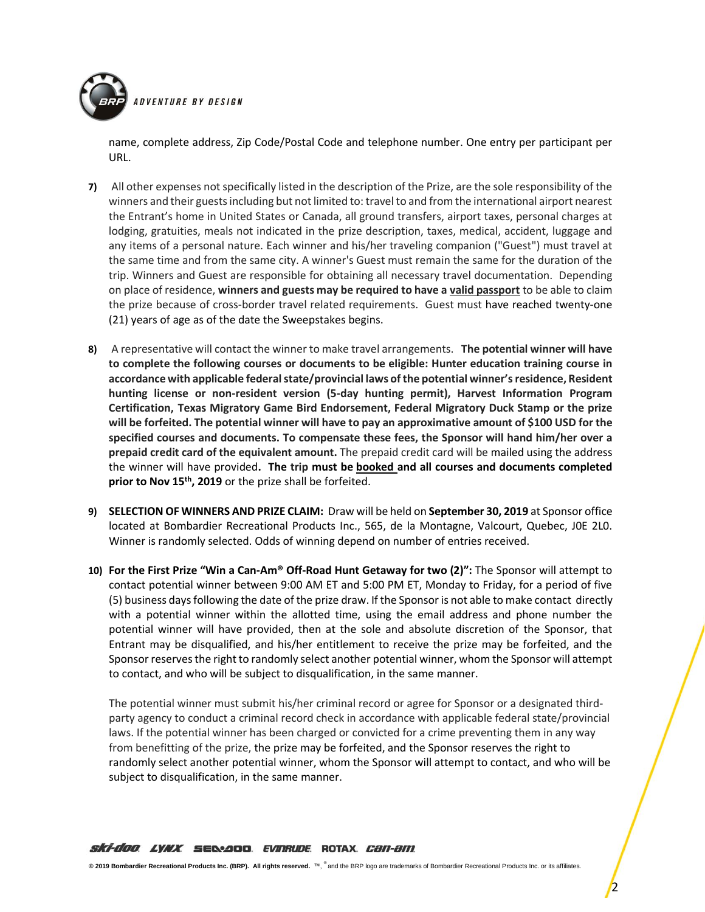

name, complete address, Zip Code/Postal Code and telephone number. One entry per participant per URL.

- **7)** All other expenses not specifically listed in the description of the Prize, are the sole responsibility of the winners and their guests including but not limited to: travel to and from the international airport nearest the Entrant's home in United States or Canada, all ground transfers, airport taxes, personal charges at lodging, gratuities, meals not indicated in the prize description, taxes, medical, accident, luggage and any items of a personal nature. Each winner and his/her traveling companion ("Guest") must travel at the same time and from the same city. A winner's Guest must remain the same for the duration of the trip. Winners and Guest are responsible for obtaining all necessary travel documentation. Depending on place of residence, **winners and guests may be required to have a valid passport** to be able to claim the prize because of cross-border travel related requirements. Guest must have reached twenty-one (21) years of age as of the date the Sweepstakes begins.
- **8)** A representative will contact the winner to make travel arrangements. **The potential winner will have to complete the following courses or documents to be eligible: Hunter education training course in accordance with applicable federal state/provincial laws of the potential winner'sresidence, Resident hunting license or non-resident version (5-day hunting permit), Harvest Information Program Certification, Texas Migratory Game Bird Endorsement, Federal Migratory Duck Stamp or the prize will be forfeited. The potential winner will have to pay an approximative amount of \$100 USD for the specified courses and documents. To compensate these fees, the Sponsor will hand him/her over a prepaid credit card of the equivalent amount.** The prepaid credit card will be mailed using the address the winner will have provided**. The trip must be booked and all courses and documents completed prior to Nov 15 th, 2019** or the prize shall be forfeited.
- **9) SELECTION OF WINNERS AND PRIZE CLAIM:** Draw will be held on **September 30, 2019** at Sponsor office located at Bombardier Recreational Products Inc., 565, de la Montagne, Valcourt, Quebec, J0E 2L0. Winner is randomly selected. Odds of winning depend on number of entries received.
- **10) For the First Prize "Win a Can-Am® Off-Road Hunt Getaway for two (2)":** The Sponsor will attempt to contact potential winner between 9:00 AM ET and 5:00 PM ET, Monday to Friday, for a period of five (5) business days following the date of the prize draw. If the Sponsor is not able to make contact directly with a potential winner within the allotted time, using the email address and phone number the potential winner will have provided, then at the sole and absolute discretion of the Sponsor, that Entrant may be disqualified, and his/her entitlement to receive the prize may be forfeited, and the Sponsor reserves the right to randomly select another potential winner, whom the Sponsor will attempt to contact, and who will be subject to disqualification, in the same manner.

The potential winner must submit his/her criminal record or agree for Sponsor or a designated thirdparty agency to conduct a criminal record check in accordance with applicable federal state/provincial laws. If the potential winner has been charged or convicted for a crime preventing them in any way from benefitting of the prize, the prize may be forfeited, and the Sponsor reserves the right to randomly select another potential winner, whom the Sponsor will attempt to contact, and who will be subject to disqualification, in the same manner.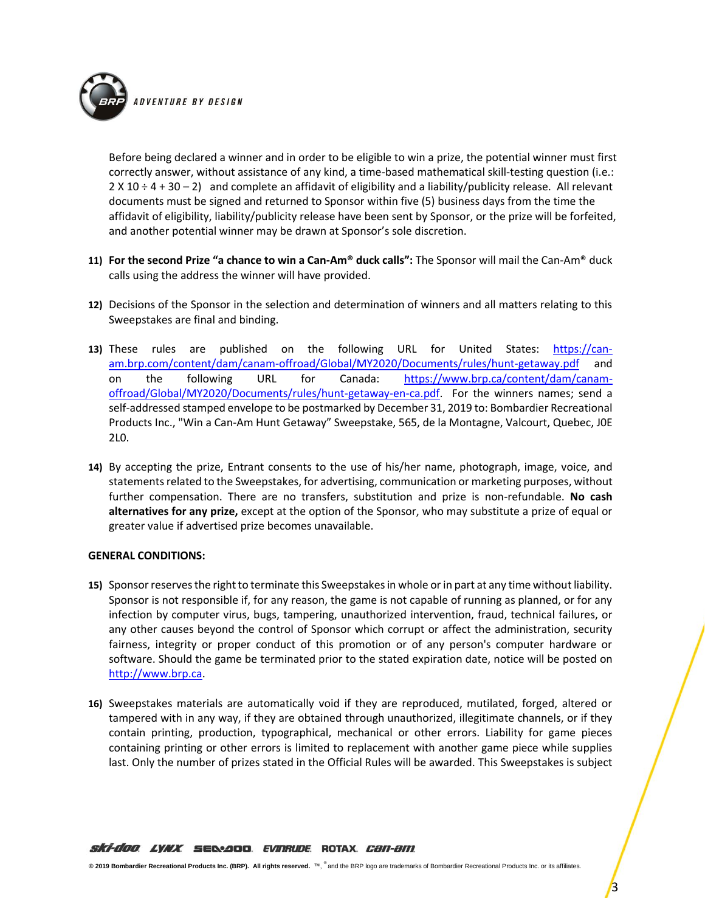

Before being declared a winner and in order to be eligible to win a prize, the potential winner must first correctly answer, without assistance of any kind, a time-based mathematical skill-testing question (i.e.:  $2 \times 10 \div 4 + 30 - 2$  and complete an affidavit of eligibility and a liability/publicity release. All relevant documents must be signed and returned to Sponsor within five (5) business days from the time the affidavit of eligibility, liability/publicity release have been sent by Sponsor, or the prize will be forfeited, and another potential winner may be drawn at Sponsor's sole discretion.

- **11) For the second Prize "a chance to win a Can-Am® duck calls":** The Sponsor will mail the Can-Am® duck calls using the address the winner will have provided.
- **12)** Decisions of the Sponsor in the selection and determination of winners and all matters relating to this Sweepstakes are final and binding.
- **13)** These rules are published on the following URL for United States: [https://can](https://can-am.brp.com/content/dam/canam-offroad/Global/MY2020/Documents/rules/hunt-getaway.pdf)[am.brp.com/content/dam/canam-offroad/Global/MY2020/Documents/rules/hunt-getaway.pdf](https://can-am.brp.com/content/dam/canam-offroad/Global/MY2020/Documents/rules/hunt-getaway.pdf) and on the following URL for Canada: [https://www.brp.ca/content/dam/canam](https://www.brp.ca/content/dam/canam-offroad/Global/MY2020/Documents/rules/hunt-getaway-en-ca.pdf)[offroad/Global/MY2020/Documents/rules/hunt-getaway-en-ca.pdf.](https://www.brp.ca/content/dam/canam-offroad/Global/MY2020/Documents/rules/hunt-getaway-en-ca.pdf) For the winners names; send a self‐addressed stamped envelope to be postmarked by December 31, 2019 to: Bombardier Recreational Products Inc., "Win a Can-Am Hunt Getaway" Sweepstake, 565, de la Montagne, Valcourt, Quebec, J0E 2L0.
- **14)** By accepting the prize, Entrant consents to the use of his/her name, photograph, image, voice, and statements related to the Sweepstakes, for advertising, communication or marketing purposes, without further compensation. There are no transfers, substitution and prize is non-refundable. **No cash alternatives for any prize,** except at the option of the Sponsor, who may substitute a prize of equal or greater value if advertised prize becomes unavailable.

## **GENERAL CONDITIONS:**

- **15)** Sponsor reserves the right to terminate this Sweepstakes in whole or in part at any time without liability. Sponsor is not responsible if, for any reason, the game is not capable of running as planned, or for any infection by computer virus, bugs, tampering, unauthorized intervention, fraud, technical failures, or any other causes beyond the control of Sponsor which corrupt or affect the administration, security fairness, integrity or proper conduct of this promotion or of any person's computer hardware or software. Should the game be terminated prior to the stated expiration date, notice will be posted on [http://www.brp.ca.](http://www.brp.ca/)
- **16)** Sweepstakes materials are automatically void if they are reproduced, mutilated, forged, altered or tampered with in any way, if they are obtained through unauthorized, illegitimate channels, or if they contain printing, production, typographical, mechanical or other errors. Liability for game pieces containing printing or other errors is limited to replacement with another game piece while supplies last. Only the number of prizes stated in the Official Rules will be awarded. This Sweepstakes is subject